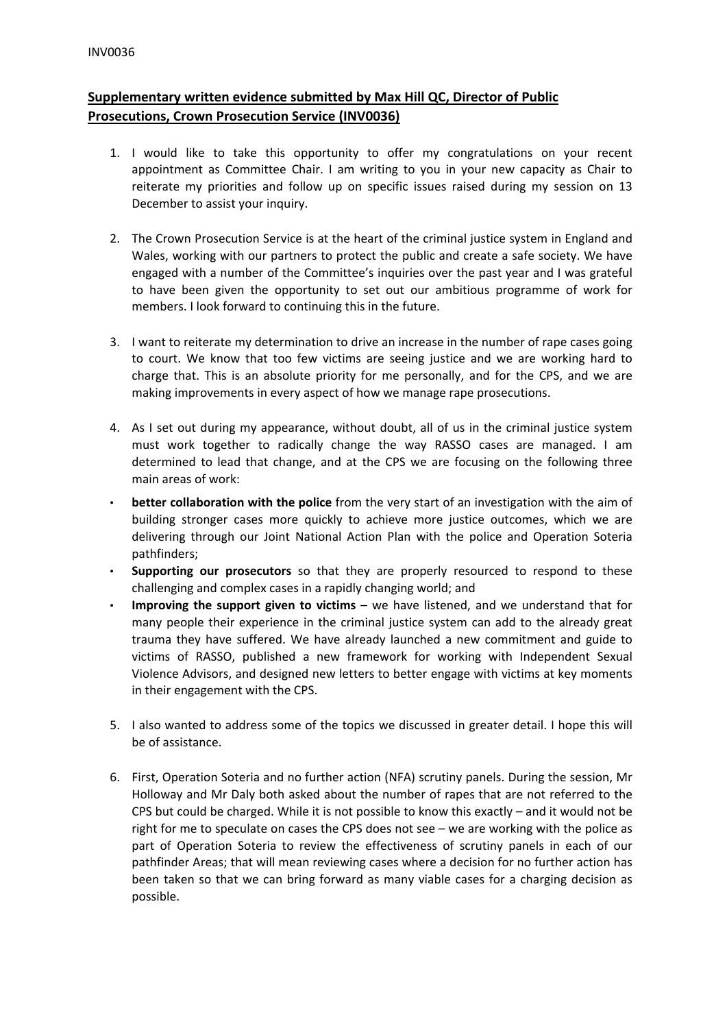## **Supplementary written evidence submitted by Max Hill QC, Director of Public Prosecutions, Crown Prosecution Service (INV0036)**

- 1. I would like to take this opportunity to offer my congratulations on your recent appointment as Committee Chair. I am writing to you in your new capacity as Chair to reiterate my priorities and follow up on specific issues raised during my session on 13 December to assist your inquiry.
- 2. The Crown Prosecution Service is at the heart of the criminal justice system in England and Wales, working with our partners to protect the public and create a safe society. We have engaged with a number of the Committee's inquiries over the past year and I was grateful to have been given the opportunity to set out our ambitious programme of work for members. I look forward to continuing this in the future.
- 3. I want to reiterate my determination to drive an increase in the number of rape cases going to court. We know that too few victims are seeing justice and we are working hard to charge that. This is an absolute priority for me personally, and for the CPS, and we are making improvements in every aspect of how we manage rape prosecutions.
- 4. As I set out during my appearance, without doubt, all of us in the criminal justice system must work together to radically change the way RASSO cases are managed. I am determined to lead that change, and at the CPS we are focusing on the following three main areas of work:
- **better collaboration with the police** from the very start of an investigation with the aim of building stronger cases more quickly to achieve more justice outcomes, which we are delivering through our Joint National Action Plan with the police and Operation Soteria pathfinders;
- **Supporting our prosecutors** so that they are properly resourced to respond to these challenging and complex cases in a rapidly changing world; and
- **Improving the support given to victims** we have listened, and we understand that for many people their experience in the criminal justice system can add to the already great trauma they have suffered. We have already launched a new commitment and guide to victims of RASSO, published a new framework for working with Independent Sexual Violence Advisors, and designed new letters to better engage with victims at key moments in their engagement with the CPS.
- 5. I also wanted to address some of the topics we discussed in greater detail. I hope this will be of assistance.
- 6. First, Operation Soteria and no further action (NFA) scrutiny panels. During the session, Mr Holloway and Mr Daly both asked about the number of rapes that are not referred to the CPS but could be charged. While it is not possible to know this exactly  $-$  and it would not be right for me to speculate on cases the CPS does not see – we are working with the police as part of Operation Soteria to review the effectiveness of scrutiny panels in each of our pathfinder Areas; that will mean reviewing cases where a decision for no further action has been taken so that we can bring forward as many viable cases for a charging decision as possible.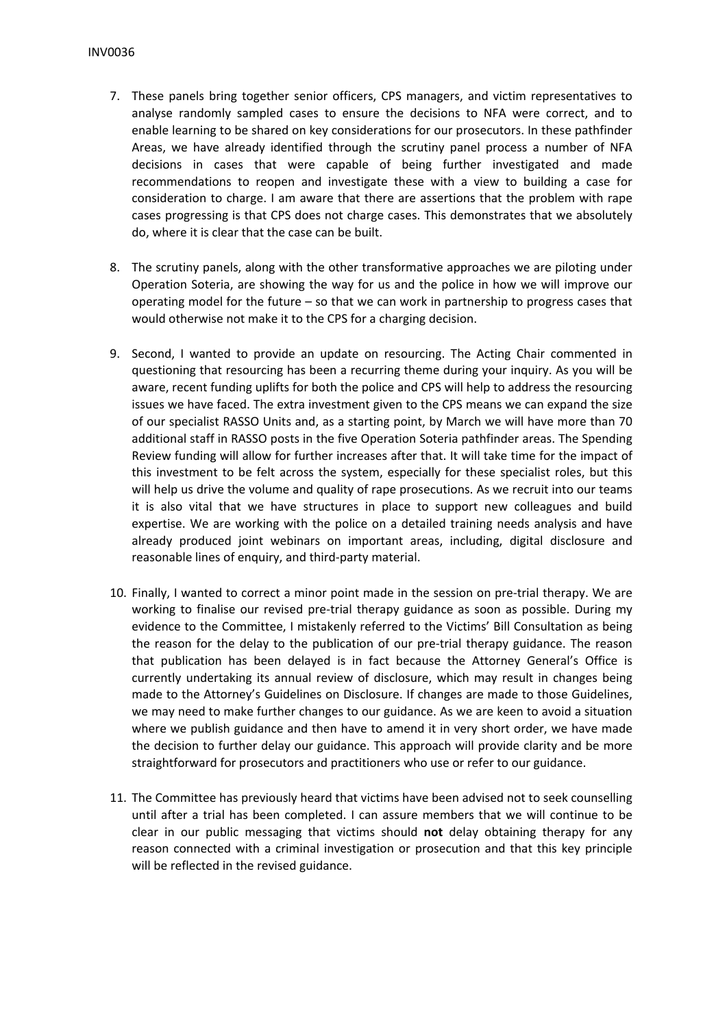- 7. These panels bring together senior officers, CPS managers, and victim representatives to analyse randomly sampled cases to ensure the decisions to NFA were correct, and to enable learning to be shared on key considerations for our prosecutors. In these pathfinder Areas, we have already identified through the scrutiny panel process a number of NFA decisions in cases that were capable of being further investigated and made recommendations to reopen and investigate these with a view to building a case for consideration to charge. I am aware that there are assertions that the problem with rape cases progressing is that CPS does not charge cases. This demonstrates that we absolutely do, where it is clear that the case can be built.
- 8. The scrutiny panels, along with the other transformative approaches we are piloting under Operation Soteria, are showing the way for us and the police in how we will improve our operating model for the future – so that we can work in partnership to progress cases that would otherwise not make it to the CPS for a charging decision.
- 9. Second, I wanted to provide an update on resourcing. The Acting Chair commented in questioning that resourcing has been a recurring theme during your inquiry. As you will be aware, recent funding uplifts for both the police and CPS will help to address the resourcing issues we have faced. The extra investment given to the CPS means we can expand the size of our specialist RASSO Units and, as a starting point, by March we will have more than 70 additional staff in RASSO posts in the five Operation Soteria pathfinder areas. The Spending Review funding will allow for further increases after that. It will take time for the impact of this investment to be felt across the system, especially for these specialist roles, but this will help us drive the volume and quality of rape prosecutions. As we recruit into our teams it is also vital that we have structures in place to support new colleagues and build expertise. We are working with the police on a detailed training needs analysis and have already produced joint webinars on important areas, including, digital disclosure and reasonable lines of enquiry, and third-party material.
- 10. Finally, I wanted to correct a minor point made in the session on pre-trial therapy. We are working to finalise our revised pre-trial therapy guidance as soon as possible. During my evidence to the Committee, I mistakenly referred to the Victims' Bill Consultation as being the reason for the delay to the publication of our pre-trial therapy guidance. The reason that publication has been delayed is in fact because the Attorney General's Office is currently undertaking its annual review of disclosure, which may result in changes being made to the Attorney's Guidelines on Disclosure. If changes are made to those Guidelines, we may need to make further changes to our guidance. As we are keen to avoid a situation where we publish guidance and then have to amend it in very short order, we have made the decision to further delay our guidance. This approach will provide clarity and be more straightforward for prosecutors and practitioners who use or refer to our guidance.
- 11. The Committee has previously heard that victims have been advised not to seek counselling until after a trial has been completed. I can assure members that we will continue to be clear in our public messaging that victims should **not** delay obtaining therapy for any reason connected with a criminal investigation or prosecution and that this key principle will be reflected in the revised guidance.